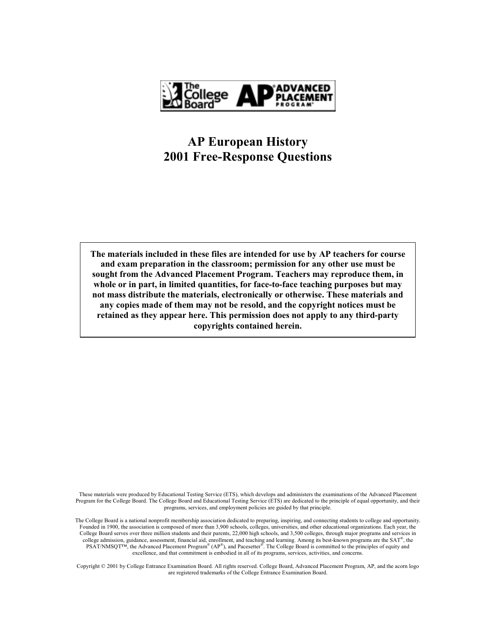

# **AP European History 2001 Free-Response Questions**

The materials included in these files are intended for use by AP teachers for course and exam preparation in the classroom; permission for any other use must be sought from the Advanced Placement Program. Teachers may reproduce them, in whole or in part, in limited quantities, for face-to-face teaching purposes but may not mass distribute the materials, electronically or otherwise. These materials and any copies made of them may not be resold, and the copyright notices must be retained as they appear here. This permission does not apply to any third-party copyrights contained herein.

These materials were produced by Educational Testing Service (ETS), which develops and administers the examinations of the Advanced Placement Program for the College Board. The College Board and Educational Testing Service (ETS) are dedicated to the principle of equal opportunity, and their programs, services, and employment policies are guided by that principle.

The College Board is a national nonprofit membership association dedicated to preparing, inspiring, and connecting students to college and opportunity. Founded in 1900, the association is composed of more than 3,900 schools, colleges, universities, and other educational organizations. Each year, the College Board serves over three million students and their parents, 22,000 high schools, and 3,500 colleges, through major programs and services in college admission, guidance, assessment, financial aid, enrollment, and teaching and learning. Among its best-known programs are the SAT®, the PSAT/NMSQT<sup>TM</sup>, the Advanced Placement Program<sup>®</sup> (AP<sup>®</sup>), and Pacesetter<sup>®</sup>. The College Board is committed to the principles of equity and excellence, and that commitment is embodied in all of its programs, services, activities, and concerns.

Copyright © 2001 by College Entrance Examination Board. All rights reserved. College Board, Advanced Placement Program, AP, and the acorn logo are registered trademarks of the College Entrance Examination Board.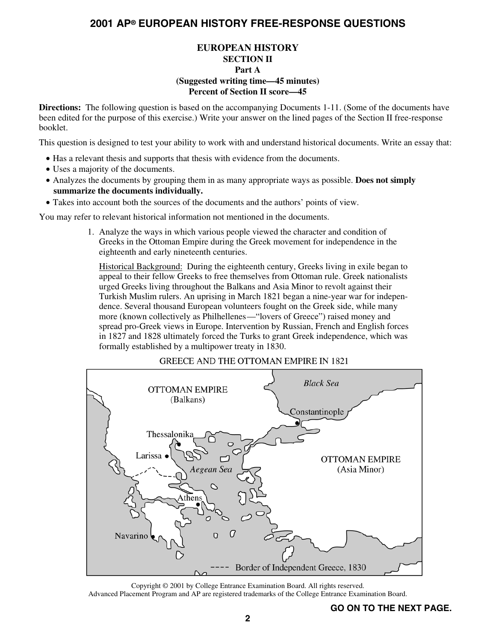## **EUROPEAN HISTORY SECTION II Part A (Suggested writing time—45 minutes) Percent of Section II score—45**

**Directions:** The following question is based on the accompanying Documents 1-11. (Some of the documents have been edited for the purpose of this exercise.) Write your answer on the lined pages of the Section II free-response booklet.

This question is designed to test your ability to work with and understand historical documents. Write an essay that:

- Has a relevant thesis and supports that thesis with evidence from the documents.
- Uses a majority of the documents.
- Analyzes the documents by grouping them in as many appropriate ways as possible. **Does not simply summarize the documents individually.**
- Takes into account both the sources of the documents and the authors' points of view.

You may refer to relevant historical information not mentioned in the documents.

1. Analyze the ways in which various people viewed the character and condition of Greeks in the Ottoman Empire during the Greek movement for independence in the eighteenth and early nineteenth centuries.

Historical Background: During the eighteenth century, Greeks living in exile began to appeal to their fellow Greeks to free themselves from Ottoman rule. Greek nationalists urged Greeks living throughout the Balkans and Asia Minor to revolt against their Turkish Muslim rulers. An uprising in March 1821 began a nine-year war for independence. Several thousand European volunteers fought on the Greek side, while many more (known collectively as Philhellenes—"lovers of Greece") raised money and spread pro-Greek views in Europe. Intervention by Russian, French and English forces in 1827 and 1828 ultimately forced the Turks to grant Greek independence, which was formally established by a multipower treaty in 1830.

### **GREECE AND THE OTTOMAN EMPIRE IN 1821**



Copyright © 2001 by College Entrance Examination Board. All rights reserved. Advanced Placement Program and AP are registered trademarks of the College Entrance Examination Board.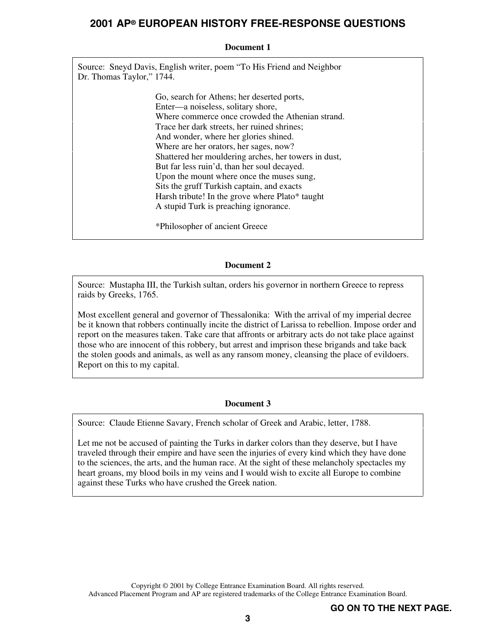### **Document 1**

Source: Sneyd Davis, English writer, poem "To His Friend and Neighbor Dr. Thomas Taylor," 1744.

> Go, search for Athens; her deserted ports, Enter—a noiseless, solitary shore, Where commerce once crowded the Athenian strand. Trace her dark streets, her ruined shrines; And wonder, where her glories shined. Where are her orators, her sages, now? Shattered her mouldering arches, her towers in dust, But far less ruin'd, than her soul decayed. Upon the mount where once the muses sung, Sits the gruff Turkish captain, and exacts Harsh tribute! In the grove where Plato\* taught A stupid Turk is preaching ignorance.

\*Philosopher of ancient Greece

## **Document 2**

Source: Mustapha III, the Turkish sultan, orders his governor in northern Greece to repress raids by Greeks, 1765.

Most excellent general and governor of Thessalonika: With the arrival of my imperial decree be it known that robbers continually incite the district of Larissa to rebellion. Impose order and report on the measures taken. Take care that affronts or arbitrary acts do not take place against those who are innocent of this robbery, but arrest and imprison these brigands and take back the stolen goods and animals, as well as any ransom money, cleansing the place of evildoers. Report on this to my capital.

### **Document 3**

Source: Claude Etienne Savary, French scholar of Greek and Arabic, letter, 1788.

Let me not be accused of painting the Turks in darker colors than they deserve, but I have traveled through their empire and have seen the injuries of every kind which they have done to the sciences, the arts, and the human race. At the sight of these melancholy spectacles my heart groans, my blood boils in my veins and I would wish to excite all Europe to combine against these Turks who have crushed the Greek nation.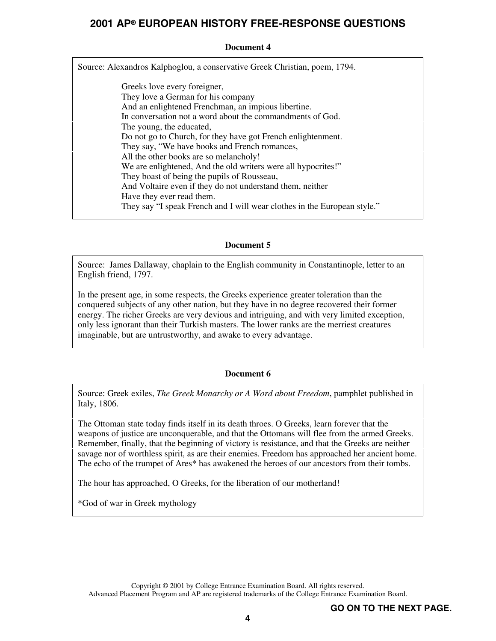### **Document 4**

Source: Alexandros Kalphoglou, a conservative Greek Christian, poem, 1794.

Greeks love every foreigner, They love a German for his company And an enlightened Frenchman, an impious libertine. In conversation not a word about the commandments of God. The young, the educated, Do not go to Church, for they have got French enlightenment. They say, "We have books and French romances, All the other books are so melancholy! We are enlightened, And the old writers were all hypocrites!" They boast of being the pupils of Rousseau, And Voltaire even if they do not understand them, neither Have they ever read them. They say "I speak French and I will wear clothes in the European style."

### **Document 5**

Source: James Dallaway, chaplain to the English community in Constantinople, letter to an English friend, 1797.

In the present age, in some respects, the Greeks experience greater toleration than the conquered subjects of any other nation, but they have in no degree recovered their former energy. The richer Greeks are very devious and intriguing, and with very limited exception, only less ignorant than their Turkish masters. The lower ranks are the merriest creatures imaginable, but are untrustworthy, and awake to every advantage.

### **Document 6**

Source: Greek exiles, *The Greek Monarchy or A Word about Freedom*, pamphlet published in Italy, 1806.

The Ottoman state today finds itself in its death throes. O Greeks, learn forever that the weapons of justice are unconquerable, and that the Ottomans will flee from the armed Greeks. Remember, finally, that the beginning of victory is resistance, and that the Greeks are neither savage nor of worthless spirit, as are their enemies. Freedom has approached her ancient home. The echo of the trumpet of Ares\* has awakened the heroes of our ancestors from their tombs.

The hour has approached, O Greeks, for the liberation of our motherland!

\*God of war in Greek mythology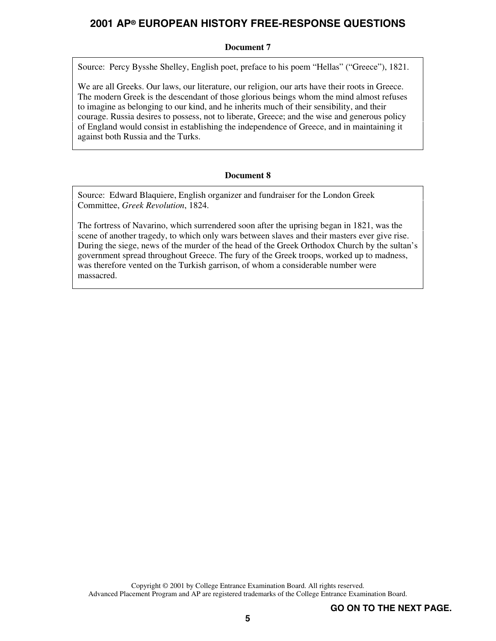### **Document 7**

Source: Percy Bysshe Shelley, English poet, preface to his poem "Hellas" ("Greece"), 1821.

We are all Greeks. Our laws, our literature, our religion, our arts have their roots in Greece. The modern Greek is the descendant of those glorious beings whom the mind almost refuses to imagine as belonging to our kind, and he inherits much of their sensibility, and their courage. Russia desires to possess, not to liberate, Greece; and the wise and generous policy of England would consist in establishing the independence of Greece, and in maintaining it against both Russia and the Turks.

### **Document 8**

Source: Edward Blaquiere, English organizer and fundraiser for the London Greek Committee, *Greek Revolution*, 1824.

The fortress of Navarino, which surrendered soon after the uprising began in 1821, was the scene of another tragedy, to which only wars between slaves and their masters ever give rise. During the siege, news of the murder of the head of the Greek Orthodox Church by the sultan's government spread throughout Greece. The fury of the Greek troops, worked up to madness, was therefore vented on the Turkish garrison, of whom a considerable number were massacred.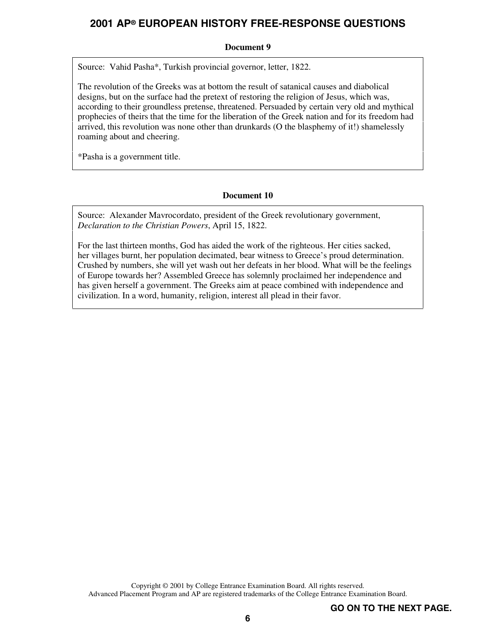## **Document 9**

Source: Vahid Pasha\*, Turkish provincial governor, letter, 1822.

The revolution of the Greeks was at bottom the result of satanical causes and diabolical designs, but on the surface had the pretext of restoring the religion of Jesus, which was, according to their groundless pretense, threatened. Persuaded by certain very old and mythical prophecies of theirs that the time for the liberation of the Greek nation and for its freedom had arrived, this revolution was none other than drunkards (O the blasphemy of it!) shamelessly roaming about and cheering.

\*Pasha is a government title.

## **Document 10**

Source: Alexander Mavrocordato, president of the Greek revolutionary government, *Declaration to the Christian Powers*, April 15, 1822.

For the last thirteen months, God has aided the work of the righteous. Her cities sacked, her villages burnt, her population decimated, bear witness to Greece's proud determination. Crushed by numbers, she will yet wash out her defeats in her blood. What will be the feelings of Europe towards her? Assembled Greece has solemnly proclaimed her independence and has given herself a government. The Greeks aim at peace combined with independence and civilization. In a word, humanity, religion, interest all plead in their favor.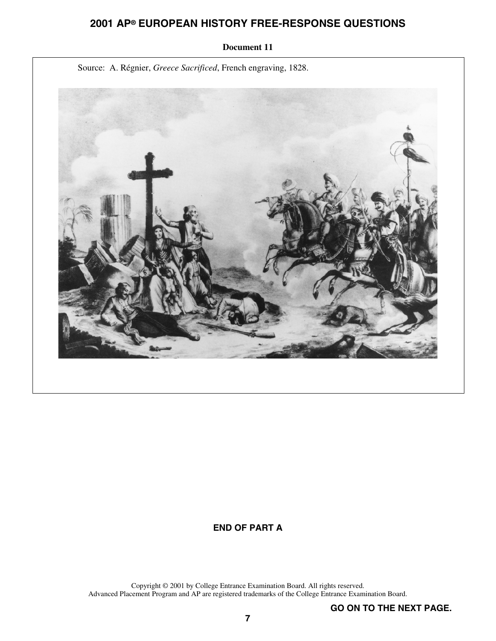

#### **Document 11**

# **END OF PART A**

Copyright © 2001 by College Entrance Examination Board. All rights reserved. Advanced Placement Program and AP are registered trademarks of the College Entrance Examination Board.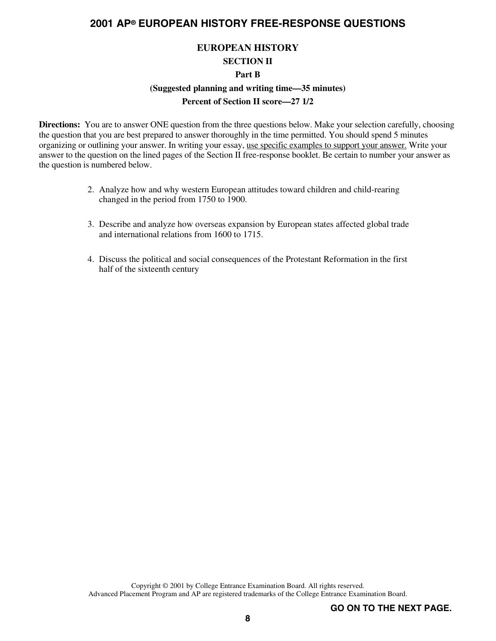## **EUROPEAN HISTORY**

#### **SECTION II**

#### **Part B**

# **(Suggested planning and writing time—35 minutes)**

## **Percent of Section II score—27 1/2**

**Directions:** You are to answer ONE question from the three questions below. Make your selection carefully, choosing the question that you are best prepared to answer thoroughly in the time permitted. You should spend 5 minutes organizing or outlining your answer. In writing your essay, use specific examples to support your answer. Write your answer to the question on the lined pages of the Section II free-response booklet. Be certain to number your answer as the question is numbered below.

- 2. Analyze how and why western European attitudes toward children and child-rearing changed in the period from 1750 to 1900.
- 3. Describe and analyze how overseas expansion by European states affected global trade and international relations from 1600 to 1715.
- 4. Discuss the political and social consequences of the Protestant Reformation in the first half of the sixteenth century